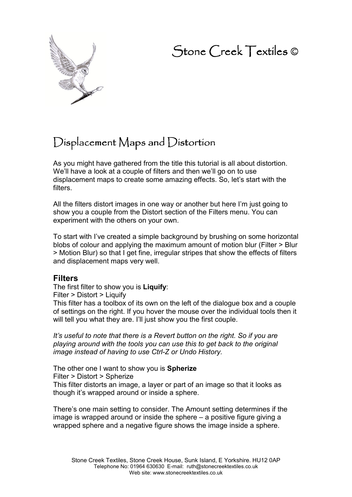# Stone Creek Textiles ©



## $D$ isplacement Maps and  $D$ istortion

As you might have gathered from the title this tutorial is all about distortion. We'll have a look at a couple of filters and then we'll go on to use displacement maps to create some amazing effects. So, let's start with the filters.

All the filters distort images in one way or another but here I'm just going to show you a couple from the Distort section of the Filters menu. You can experiment with the others on your own.

To start with I've created a simple background by brushing on some horizontal blobs of colour and applying the maximum amount of motion blur (Filter > Blur > Motion Blur) so that I get fine, irregular stripes that show the effects of filters and displacement maps very well.

## **Filters**

The first filter to show you is **Liquify**: Filter > Distort > Liquify This filter has a toolbox of its own on the left of the dialogue box and a couple of settings on the right. If you hover the mouse over the individual tools then it will tell you what they are. I'll just show you the first couple.

*It's useful to note that there is a Revert button on the right. So if you are playing around with the tools you can use this to get back to the original image instead of having to use Ctrl-Z or Undo History.* 

The other one I want to show you is **Spherize** Filter > Distort > Spherize This filter distorts an image, a layer or part of an image so that it looks as though it's wrapped around or inside a sphere.

There's one main setting to consider. The Amount setting determines if the image is wrapped around or inside the sphere – a positive figure giving a wrapped sphere and a negative figure shows the image inside a sphere.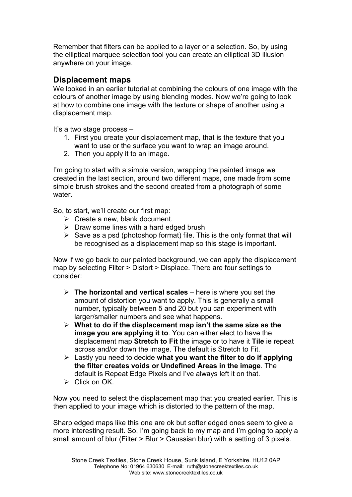Remember that filters can be applied to a layer or a selection. So, by using the elliptical marquee selection tool you can create an elliptical 3D illusion anywhere on your image.

## **Displacement maps**

We looked in an earlier tutorial at combining the colours of one image with the colours of another image by using blending modes. Now we're going to look at how to combine one image with the texture or shape of another using a displacement map.

It's a two stage process –

- 1. First you create your displacement map, that is the texture that you want to use or the surface you want to wrap an image around.
- 2. Then you apply it to an image.

I'm going to start with a simple version, wrapping the painted image we created in the last section, around two different maps, one made from some simple brush strokes and the second created from a photograph of some water

So, to start, we'll create our first map:

- $\triangleright$  Create a new, blank document.
- $\triangleright$  Draw some lines with a hard edged brush
- $\triangleright$  Save as a psd (photoshop format) file. This is the only format that will be recognised as a displacement map so this stage is important.

Now if we go back to our painted background, we can apply the displacement map by selecting Filter > Distort > Displace. There are four settings to consider:

- **The horizontal and vertical scales** here is where you set the amount of distortion you want to apply. This is generally a small number, typically between 5 and 20 but you can experiment with larger/smaller numbers and see what happens.
- **What to do if the displacement map isn't the same size as the image you are applying it to**. You can either elect to have the displacement map **Stretch to Fit** the image or to have it **Tile** ie repeat across and/or down the image. The default is Stretch to Fit.
- Lastly you need to decide **what you want the filter to do if applying the filter creates voids or Undefined Areas in the image**. The default is Repeat Edge Pixels and I've always left it on that.
- $\triangleright$  Click on OK.

Now you need to select the displacement map that you created earlier. This is then applied to your image which is distorted to the pattern of the map.

Sharp edged maps like this one are ok but softer edged ones seem to give a more interesting result. So, I'm going back to my map and I'm going to apply a small amount of blur (Filter > Blur > Gaussian blur) with a setting of 3 pixels.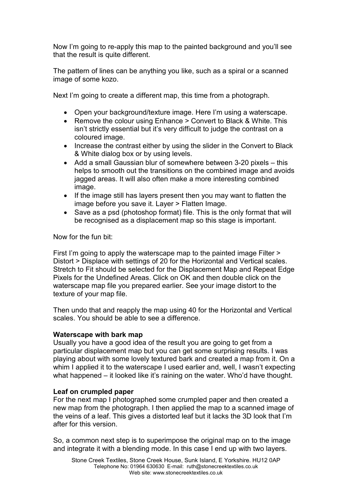Now I'm going to re-apply this map to the painted background and you'll see that the result is quite different.

The pattern of lines can be anything you like, such as a spiral or a scanned image of some kozo.

Next I'm going to create a different map, this time from a photograph.

- Open your background/texture image. Here I'm using a waterscape.
- Remove the colour using Enhance > Convert to Black & White. This isn't strictly essential but it's very difficult to judge the contrast on a coloured image.
- Increase the contrast either by using the slider in the Convert to Black & White dialog box or by using levels.
- Add a small Gaussian blur of somewhere between 3-20 pixels this helps to smooth out the transitions on the combined image and avoids jagged areas. It will also often make a more interesting combined image.
- If the image still has layers present then you may want to flatten the image before you save it. Layer > Flatten Image.
- Save as a psd (photoshop format) file. This is the only format that will be recognised as a displacement map so this stage is important.

Now for the fun bit:

First I'm going to apply the waterscape map to the painted image Filter > Distort > Displace with settings of 20 for the Horizontal and Vertical scales. Stretch to Fit should be selected for the Displacement Map and Repeat Edge Pixels for the Undefined Areas. Click on OK and then double click on the waterscape map file you prepared earlier. See your image distort to the texture of your map file.

Then undo that and reapply the map using 40 for the Horizontal and Vertical scales. You should be able to see a difference.

## **Waterscape with bark map**

Usually you have a good idea of the result you are going to get from a particular displacement map but you can get some surprising results. I was playing about with some lovely textured bark and created a map from it. On a whim I applied it to the waterscape I used earlier and, well, I wasn't expecting what happened – it looked like it's raining on the water. Who'd have thought.

## **Leaf on crumpled paper**

For the next map I photographed some crumpled paper and then created a new map from the photograph. I then applied the map to a scanned image of the veins of a leaf. This gives a distorted leaf but it lacks the 3D look that I'm after for this version.

So, a common next step is to superimpose the original map on to the image and integrate it with a blending mode. In this case I end up with two layers.